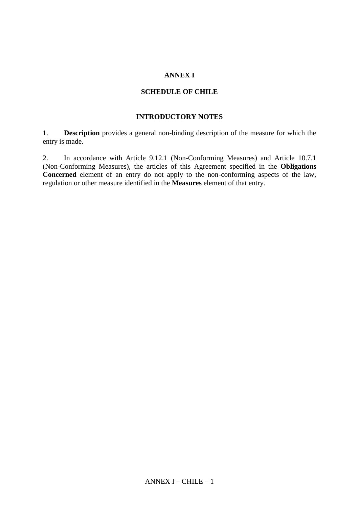## **ANNEX I**

## **SCHEDULE OF CHILE**

## **INTRODUCTORY NOTES**

1. **Description** provides a general non-binding description of the measure for which the entry is made.

2. In accordance with Article 9.12.1 (Non-Conforming Measures) and Article 10.7.1 (Non-Conforming Measures), the articles of this Agreement specified in the **Obligations Concerned** element of an entry do not apply to the non-conforming aspects of the law, regulation or other measure identified in the **Measures** element of that entry.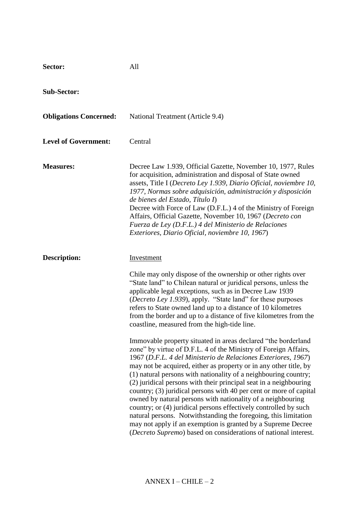| Sector:                       | All                                                                                                                                                                                                                                                                                                                                                                                                                                                                                                                                                                                                                                                                                                                                                                                                                            |
|-------------------------------|--------------------------------------------------------------------------------------------------------------------------------------------------------------------------------------------------------------------------------------------------------------------------------------------------------------------------------------------------------------------------------------------------------------------------------------------------------------------------------------------------------------------------------------------------------------------------------------------------------------------------------------------------------------------------------------------------------------------------------------------------------------------------------------------------------------------------------|
| <b>Sub-Sector:</b>            |                                                                                                                                                                                                                                                                                                                                                                                                                                                                                                                                                                                                                                                                                                                                                                                                                                |
| <b>Obligations Concerned:</b> | National Treatment (Article 9.4)                                                                                                                                                                                                                                                                                                                                                                                                                                                                                                                                                                                                                                                                                                                                                                                               |
| <b>Level of Government:</b>   | Central                                                                                                                                                                                                                                                                                                                                                                                                                                                                                                                                                                                                                                                                                                                                                                                                                        |
| <b>Measures:</b>              | Decree Law 1.939, Official Gazette, November 10, 1977, Rules<br>for acquisition, administration and disposal of State owned<br>assets, Title I (Decreto Ley 1.939, Diario Oficial, noviembre 10,<br>1977, Normas sobre adquisición, administración y disposición<br>de bienes del Estado, Título I)<br>Decree with Force of Law (D.F.L.) 4 of the Ministry of Foreign<br>Affairs, Official Gazette, November 10, 1967 (Decreto con<br>Fuerza de Ley (D.F.L.) 4 del Ministerio de Relaciones<br>Exteriores, Diario Oficial, noviembre 10, 1967)                                                                                                                                                                                                                                                                                 |
| <b>Description:</b>           | <b>Investment</b>                                                                                                                                                                                                                                                                                                                                                                                                                                                                                                                                                                                                                                                                                                                                                                                                              |
|                               | Chile may only dispose of the ownership or other rights over<br>"State land" to Chilean natural or juridical persons, unless the<br>applicable legal exceptions, such as in Decree Law 1939<br>( <i>Decreto Ley 1.939</i> ), apply. "State land" for these purposes<br>refers to State owned land up to a distance of 10 kilometres<br>from the border and up to a distance of five kilometres from the<br>coastline, measured from the high-tide line.                                                                                                                                                                                                                                                                                                                                                                        |
|                               | Immovable property situated in areas declared "the borderland"<br>zone" by virtue of D.F.L. 4 of the Ministry of Foreign Affairs,<br>1967 (D.F.L. 4 del Ministerio de Relaciones Exteriores, 1967)<br>may not be acquired, either as property or in any other title, by<br>(1) natural persons with nationality of a neighbouring country;<br>(2) juridical persons with their principal seat in a neighbouring<br>country; (3) juridical persons with 40 per cent or more of capital<br>owned by natural persons with nationality of a neighbouring<br>country; or (4) juridical persons effectively controlled by such<br>natural persons. Notwithstanding the foregoing, this limitation<br>may not apply if an exemption is granted by a Supreme Decree<br>(Decreto Supremo) based on considerations of national interest. |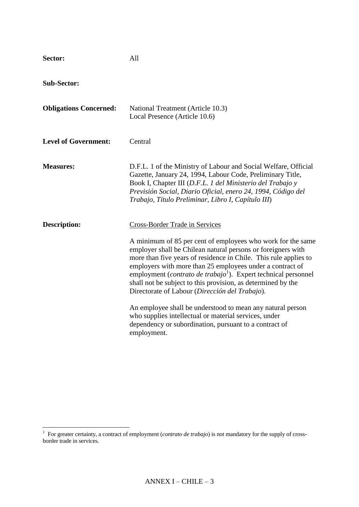| Sector:                       | All                                                                                                                                                                                                                                                                                                                                                                                                                                                                                                                                                                                                                                                                                                           |
|-------------------------------|---------------------------------------------------------------------------------------------------------------------------------------------------------------------------------------------------------------------------------------------------------------------------------------------------------------------------------------------------------------------------------------------------------------------------------------------------------------------------------------------------------------------------------------------------------------------------------------------------------------------------------------------------------------------------------------------------------------|
| <b>Sub-Sector:</b>            |                                                                                                                                                                                                                                                                                                                                                                                                                                                                                                                                                                                                                                                                                                               |
| <b>Obligations Concerned:</b> | National Treatment (Article 10.3)<br>Local Presence (Article 10.6)                                                                                                                                                                                                                                                                                                                                                                                                                                                                                                                                                                                                                                            |
| <b>Level of Government:</b>   | Central                                                                                                                                                                                                                                                                                                                                                                                                                                                                                                                                                                                                                                                                                                       |
| <b>Measures:</b>              | D.F.L. 1 of the Ministry of Labour and Social Welfare, Official<br>Gazette, January 24, 1994, Labour Code, Preliminary Title,<br>Book I, Chapter III (D.F.L. 1 del Ministerio del Trabajo y<br>Previsión Social, Diario Oficial, enero 24, 1994, Código del<br>Trabajo, Título Preliminar, Libro I, Capítulo III)                                                                                                                                                                                                                                                                                                                                                                                             |
| <b>Description:</b>           | <b>Cross-Border Trade in Services</b><br>A minimum of 85 per cent of employees who work for the same<br>employer shall be Chilean natural persons or foreigners with<br>more than five years of residence in Chile. This rule applies to<br>employers with more than 25 employees under a contract of<br>employment ( <i>contrato de trabajo</i> <sup>1</sup> ). Expert technical personnel<br>shall not be subject to this provision, as determined by the<br>Directorate of Labour (Dirección del Trabajo).<br>An employee shall be understood to mean any natural person<br>who supplies intellectual or material services, under<br>dependency or subordination, pursuant to a contract of<br>employment. |

 1 For greater certainty, a contract of employment (*contrato de trabajo*) is not mandatory for the supply of crossborder trade in services.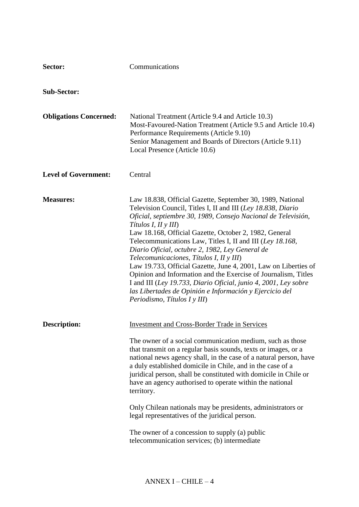| Sector:                       | Communications                                                                                                                                                                                                                                                                                                                                                                                                                                                                                                                                                                                                                                                                                                                               |
|-------------------------------|----------------------------------------------------------------------------------------------------------------------------------------------------------------------------------------------------------------------------------------------------------------------------------------------------------------------------------------------------------------------------------------------------------------------------------------------------------------------------------------------------------------------------------------------------------------------------------------------------------------------------------------------------------------------------------------------------------------------------------------------|
| <b>Sub-Sector:</b>            |                                                                                                                                                                                                                                                                                                                                                                                                                                                                                                                                                                                                                                                                                                                                              |
| <b>Obligations Concerned:</b> | National Treatment (Article 9.4 and Article 10.3)<br>Most-Favoured-Nation Treatment (Article 9.5 and Article 10.4)<br>Performance Requirements (Article 9.10)<br>Senior Management and Boards of Directors (Article 9.11)<br>Local Presence (Article 10.6)                                                                                                                                                                                                                                                                                                                                                                                                                                                                                   |
| <b>Level of Government:</b>   | Central                                                                                                                                                                                                                                                                                                                                                                                                                                                                                                                                                                                                                                                                                                                                      |
| <b>Measures:</b>              | Law 18.838, Official Gazette, September 30, 1989, National<br>Television Council, Titles I, II and III (Ley 18.838, Diario<br>Oficial, septiembre 30, 1989, Consejo Nacional de Televisión,<br>Títulos I, II y III)<br>Law 18.168, Official Gazette, October 2, 1982, General<br>Telecommunications Law, Titles I, II and III (Ley 18.168,<br>Diario Oficial, octubre 2, 1982, Ley General de<br>Telecomunicaciones, Títulos I, II y III)<br>Law 19.733, Official Gazette, June 4, 2001, Law on Liberties of<br>Opinion and Information and the Exercise of Journalism, Titles<br>I and III (Ley 19.733, Diario Oficial, junio 4, 2001, Ley sobre<br>las Libertades de Opinión e Información y Ejercicio del<br>Periodismo, Títulos I y III) |
| Description:                  | <b>Investment and Cross-Border Trade in Services</b><br>The owner of a social communication medium, such as those<br>that transmit on a regular basis sounds, texts or images, or a<br>national news agency shall, in the case of a natural person, have<br>a duly established domicile in Chile, and in the case of a<br>juridical person, shall be constituted with domicile in Chile or<br>have an agency authorised to operate within the national<br>territory.<br>Only Chilean nationals may be presidents, administrators or<br>legal representatives of the juridical person.<br>The owner of a concession to supply (a) public<br>telecommunication services; (b) intermediate                                                      |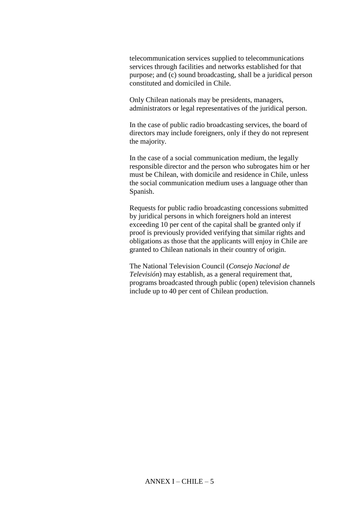telecommunication services supplied to telecommunications services through facilities and networks established for that purpose; and (c) sound broadcasting, shall be a juridical person constituted and domiciled in Chile.

Only Chilean nationals may be presidents, managers, administrators or legal representatives of the juridical person.

In the case of public radio broadcasting services, the board of directors may include foreigners, only if they do not represent the majority.

In the case of a social communication medium, the legally responsible director and the person who subrogates him or her must be Chilean, with domicile and residence in Chile, unless the social communication medium uses a language other than Spanish.

Requests for public radio broadcasting concessions submitted by juridical persons in which foreigners hold an interest exceeding 10 per cent of the capital shall be granted only if proof is previously provided verifying that similar rights and obligations as those that the applicants will enjoy in Chile are granted to Chilean nationals in their country of origin.

The National Television Council (*Consejo Nacional de Televisión*) may establish, as a general requirement that, programs broadcasted through public (open) television channels include up to 40 per cent of Chilean production.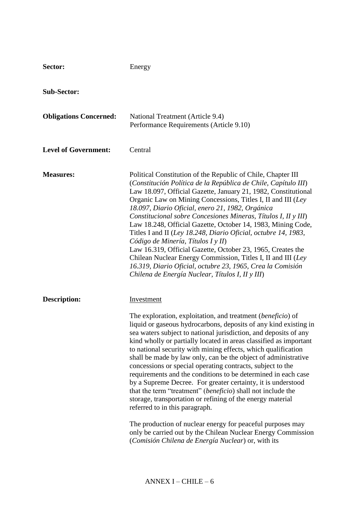| Sector:                       | Energy                                                                                                                                                                                                                                                                                                                                                                                                                                                                                                                                                                                                                                                                                                                                                                                                                                                                                                                                                                               |
|-------------------------------|--------------------------------------------------------------------------------------------------------------------------------------------------------------------------------------------------------------------------------------------------------------------------------------------------------------------------------------------------------------------------------------------------------------------------------------------------------------------------------------------------------------------------------------------------------------------------------------------------------------------------------------------------------------------------------------------------------------------------------------------------------------------------------------------------------------------------------------------------------------------------------------------------------------------------------------------------------------------------------------|
| <b>Sub-Sector:</b>            |                                                                                                                                                                                                                                                                                                                                                                                                                                                                                                                                                                                                                                                                                                                                                                                                                                                                                                                                                                                      |
| <b>Obligations Concerned:</b> | National Treatment (Article 9.4)<br>Performance Requirements (Article 9.10)                                                                                                                                                                                                                                                                                                                                                                                                                                                                                                                                                                                                                                                                                                                                                                                                                                                                                                          |
| <b>Level of Government:</b>   | Central                                                                                                                                                                                                                                                                                                                                                                                                                                                                                                                                                                                                                                                                                                                                                                                                                                                                                                                                                                              |
| <b>Measures:</b>              | Political Constitution of the Republic of Chile, Chapter III<br>(Constitución Política de la República de Chile, Capítulo III)<br>Law 18.097, Official Gazette, January 21, 1982, Constitutional<br>Organic Law on Mining Concessions, Titles I, II and III (Ley<br>18.097, Diario Oficial, enero 21, 1982, Orgánica<br>Constitucional sobre Concesiones Mineras, Títulos I, II y III)<br>Law 18.248, Official Gazette, October 14, 1983, Mining Code,<br>Titles I and II (Ley 18.248, Diario Oficial, octubre 14, 1983,<br>Código de Minería, Títulos I y II)<br>Law 16.319, Official Gazette, October 23, 1965, Creates the<br>Chilean Nuclear Energy Commission, Titles I, II and III (Ley<br>16.319, Diario Oficial, octubre 23, 1965, Crea la Comisión<br>Chilena de Energía Nuclear, Títulos I, II y III)                                                                                                                                                                      |
| <b>Description:</b>           | Investment<br>The exploration, exploitation, and treatment (beneficio) of<br>liquid or gaseous hydrocarbons, deposits of any kind existing in<br>sea waters subject to national jurisdiction, and deposits of any<br>kind wholly or partially located in areas classified as important<br>to national security with mining effects, which qualification<br>shall be made by law only, can be the object of administrative<br>concessions or special operating contracts, subject to the<br>requirements and the conditions to be determined in each case<br>by a Supreme Decree. For greater certainty, it is understood<br>that the term "treatment" ( <i>beneficio</i> ) shall not include the<br>storage, transportation or refining of the energy material<br>referred to in this paragraph.<br>The production of nuclear energy for peaceful purposes may<br>only be carried out by the Chilean Nuclear Energy Commission<br>(Comisión Chilena de Energía Nuclear) or, with its |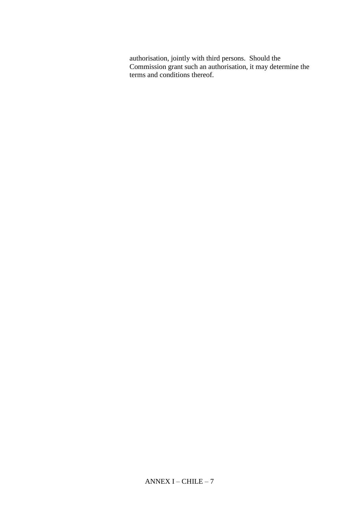authorisation, jointly with third persons. Should the Commission grant such an authorisation, it may determine the terms and conditions thereof.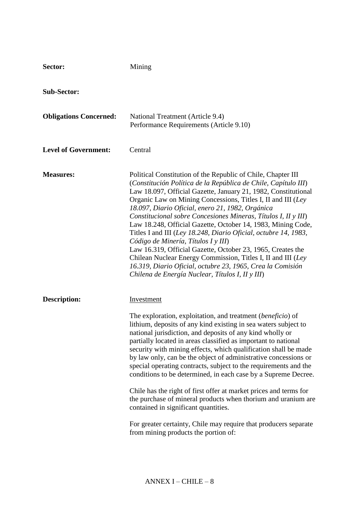| Sector:                       | Mining                                                                                                                                                                                                                                                                                                                                                                                                                                                                                                                                                                                                                                                                                                                                                                                                                                            |
|-------------------------------|---------------------------------------------------------------------------------------------------------------------------------------------------------------------------------------------------------------------------------------------------------------------------------------------------------------------------------------------------------------------------------------------------------------------------------------------------------------------------------------------------------------------------------------------------------------------------------------------------------------------------------------------------------------------------------------------------------------------------------------------------------------------------------------------------------------------------------------------------|
| <b>Sub-Sector:</b>            |                                                                                                                                                                                                                                                                                                                                                                                                                                                                                                                                                                                                                                                                                                                                                                                                                                                   |
| <b>Obligations Concerned:</b> | National Treatment (Article 9.4)<br>Performance Requirements (Article 9.10)                                                                                                                                                                                                                                                                                                                                                                                                                                                                                                                                                                                                                                                                                                                                                                       |
| <b>Level of Government:</b>   | Central                                                                                                                                                                                                                                                                                                                                                                                                                                                                                                                                                                                                                                                                                                                                                                                                                                           |
| <b>Measures:</b>              | Political Constitution of the Republic of Chile, Chapter III<br>(Constitución Política de la República de Chile, Capítulo III)<br>Law 18.097, Official Gazette, January 21, 1982, Constitutional<br>Organic Law on Mining Concessions, Titles I, II and III (Ley<br>18.097, Diario Oficial, enero 21, 1982, Orgánica<br>Constitucional sobre Concesiones Mineras, Títulos I, II y III)<br>Law 18.248, Official Gazette, October 14, 1983, Mining Code,<br>Titles I and III (Ley 18.248, Diario Oficial, octubre 14, 1983,<br>Código de Minería, Títulos I y III)<br>Law 16.319, Official Gazette, October 23, 1965, Creates the<br>Chilean Nuclear Energy Commission, Titles I, II and III (Ley)<br>16.319, Diario Oficial, octubre 23, 1965, Crea la Comisión<br>Chilena de Energía Nuclear, Títulos I, II y III)                                |
| <b>Description:</b>           | Investment<br>The exploration, exploitation, and treatment (beneficio) of<br>lithium, deposits of any kind existing in sea waters subject to<br>national jurisdiction, and deposits of any kind wholly or<br>partially located in areas classified as important to national<br>security with mining effects, which qualification shall be made<br>by law only, can be the object of administrative concessions or<br>special operating contracts, subject to the requirements and the<br>conditions to be determined, in each case by a Supreme Decree.<br>Chile has the right of first offer at market prices and terms for<br>the purchase of mineral products when thorium and uranium are<br>contained in significant quantities.<br>For greater certainty, Chile may require that producers separate<br>from mining products the portion of: |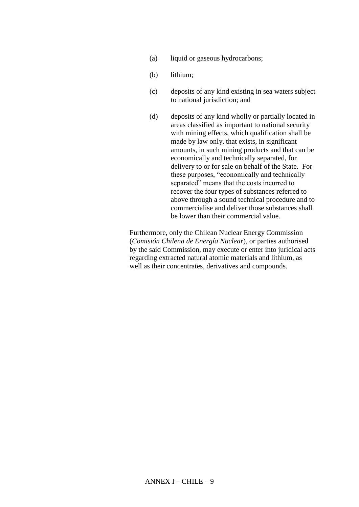- (a) liquid or gaseous hydrocarbons;
- (b) lithium;
- (c) deposits of any kind existing in sea waters subject to national jurisdiction; and
- (d) deposits of any kind wholly or partially located in areas classified as important to national security with mining effects, which qualification shall be made by law only, that exists, in significant amounts, in such mining products and that can be economically and technically separated, for delivery to or for sale on behalf of the State. For these purposes, "economically and technically separated" means that the costs incurred to recover the four types of substances referred to above through a sound technical procedure and to commercialise and deliver those substances shall be lower than their commercial value.

Furthermore, only the Chilean Nuclear Energy Commission (*Comisión Chilena de Energía Nuclear*), or parties authorised by the said Commission, may execute or enter into juridical acts regarding extracted natural atomic materials and lithium, as well as their concentrates, derivatives and compounds.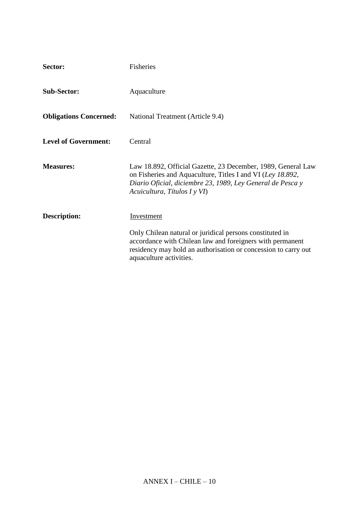| Sector:                       | Fisheries                                                                                                                                                                                                                |
|-------------------------------|--------------------------------------------------------------------------------------------------------------------------------------------------------------------------------------------------------------------------|
| <b>Sub-Sector:</b>            | Aquaculture                                                                                                                                                                                                              |
| <b>Obligations Concerned:</b> | National Treatment (Article 9.4)                                                                                                                                                                                         |
| <b>Level of Government:</b>   | Central                                                                                                                                                                                                                  |
| <b>Measures:</b>              | Law 18.892, Official Gazette, 23 December, 1989, General Law<br>on Fisheries and Aquaculture, Titles I and VI (Ley 18.892,<br>Diario Oficial, diciembre 23, 1989, Ley General de Pesca y<br>Acuicultura, Títulos I y VI) |
| <b>Description:</b>           | Investment                                                                                                                                                                                                               |
|                               | Only Chilean natural or juridical persons constituted in<br>accordance with Chilean law and foreigners with permanent<br>residency may hold an authorisation or concession to carry out<br>aquaculture activities.       |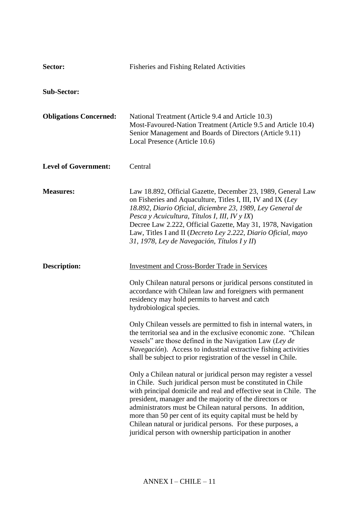| Sector:                       | <b>Fisheries and Fishing Related Activities</b>                                                                                                                                                                                                                                                                                                                                                                                                                                                                            |
|-------------------------------|----------------------------------------------------------------------------------------------------------------------------------------------------------------------------------------------------------------------------------------------------------------------------------------------------------------------------------------------------------------------------------------------------------------------------------------------------------------------------------------------------------------------------|
| <b>Sub-Sector:</b>            |                                                                                                                                                                                                                                                                                                                                                                                                                                                                                                                            |
| <b>Obligations Concerned:</b> | National Treatment (Article 9.4 and Article 10.3)<br>Most-Favoured-Nation Treatment (Article 9.5 and Article 10.4)<br>Senior Management and Boards of Directors (Article 9.11)<br>Local Presence (Article 10.6)                                                                                                                                                                                                                                                                                                            |
| <b>Level of Government:</b>   | Central                                                                                                                                                                                                                                                                                                                                                                                                                                                                                                                    |
| <b>Measures:</b>              | Law 18.892, Official Gazette, December 23, 1989, General Law<br>on Fisheries and Aquaculture, Titles I, III, IV and IX (Ley<br>18.892, Diario Oficial, diciembre 23, 1989, Ley General de<br>Pesca y Acuicultura, Títulos I, III, IV y IX)<br>Decree Law 2.222, Official Gazette, May 31, 1978, Navigation<br>Law, Titles I and II (Decreto Ley 2.222, Diario Oficial, mayo<br>31, 1978, Ley de Navegación, Títulos I y II)                                                                                                |
| <b>Description:</b>           | <b>Investment and Cross-Border Trade in Services</b>                                                                                                                                                                                                                                                                                                                                                                                                                                                                       |
|                               | Only Chilean natural persons or juridical persons constituted in<br>accordance with Chilean law and foreigners with permanent<br>residency may hold permits to harvest and catch<br>hydrobiological species.                                                                                                                                                                                                                                                                                                               |
|                               | Only Chilean vessels are permitted to fish in internal waters, in<br>the territorial sea and in the exclusive economic zone. "Chilean"<br>vessels" are those defined in the Navigation Law (Ley de<br>Navegación). Access to industrial extractive fishing activities<br>shall be subject to prior registration of the vessel in Chile.                                                                                                                                                                                    |
|                               | Only a Chilean natural or juridical person may register a vessel<br>in Chile. Such juridical person must be constituted in Chile<br>with principal domicile and real and effective seat in Chile. The<br>president, manager and the majority of the directors or<br>administrators must be Chilean natural persons. In addition,<br>more than 50 per cent of its equity capital must be held by<br>Chilean natural or juridical persons. For these purposes, a<br>juridical person with ownership participation in another |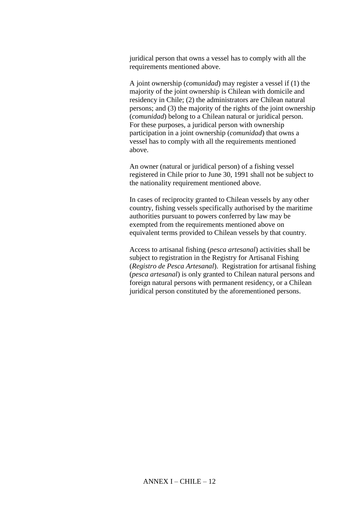juridical person that owns a vessel has to comply with all the requirements mentioned above.

A joint ownership (*comunidad*) may register a vessel if (1) the majority of the joint ownership is Chilean with domicile and residency in Chile; (2) the administrators are Chilean natural persons; and (3) the majority of the rights of the joint ownership (*comunidad*) belong to a Chilean natural or juridical person. For these purposes, a juridical person with ownership participation in a joint ownership (*comunidad*) that owns a vessel has to comply with all the requirements mentioned above.

An owner (natural or juridical person) of a fishing vessel registered in Chile prior to June 30, 1991 shall not be subject to the nationality requirement mentioned above.

In cases of reciprocity granted to Chilean vessels by any other country, fishing vessels specifically authorised by the maritime authorities pursuant to powers conferred by law may be exempted from the requirements mentioned above on equivalent terms provided to Chilean vessels by that country.

Access to artisanal fishing (*pesca artesanal*) activities shall be subject to registration in the Registry for Artisanal Fishing (*Registro de Pesca Artesanal*). Registration for artisanal fishing (*pesca artesanal*) is only granted to Chilean natural persons and foreign natural persons with permanent residency, or a Chilean juridical person constituted by the aforementioned persons.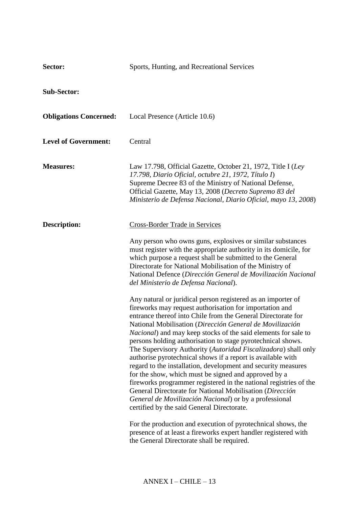| Sector:                       | Sports, Hunting, and Recreational Services                                                                                                                                                                                                                                                                                                                                                                                                                                                                                                                                                                                                                                                                                                                                                                                                                                                                                                                      |
|-------------------------------|-----------------------------------------------------------------------------------------------------------------------------------------------------------------------------------------------------------------------------------------------------------------------------------------------------------------------------------------------------------------------------------------------------------------------------------------------------------------------------------------------------------------------------------------------------------------------------------------------------------------------------------------------------------------------------------------------------------------------------------------------------------------------------------------------------------------------------------------------------------------------------------------------------------------------------------------------------------------|
| <b>Sub-Sector:</b>            |                                                                                                                                                                                                                                                                                                                                                                                                                                                                                                                                                                                                                                                                                                                                                                                                                                                                                                                                                                 |
| <b>Obligations Concerned:</b> | Local Presence (Article 10.6)                                                                                                                                                                                                                                                                                                                                                                                                                                                                                                                                                                                                                                                                                                                                                                                                                                                                                                                                   |
| <b>Level of Government:</b>   | Central                                                                                                                                                                                                                                                                                                                                                                                                                                                                                                                                                                                                                                                                                                                                                                                                                                                                                                                                                         |
| <b>Measures:</b>              | Law 17.798, Official Gazette, October 21, 1972, Title I (Ley<br>17.798, Diario Oficial, octubre 21, 1972, Título I)<br>Supreme Decree 83 of the Ministry of National Defense,<br>Official Gazette, May 13, 2008 (Decreto Supremo 83 del<br>Ministerio de Defensa Nacional, Diario Oficial, mayo 13, 2008)                                                                                                                                                                                                                                                                                                                                                                                                                                                                                                                                                                                                                                                       |
| <b>Description:</b>           | <b>Cross-Border Trade in Services</b>                                                                                                                                                                                                                                                                                                                                                                                                                                                                                                                                                                                                                                                                                                                                                                                                                                                                                                                           |
|                               | Any person who owns guns, explosives or similar substances<br>must register with the appropriate authority in its domicile, for<br>which purpose a request shall be submitted to the General<br>Directorate for National Mobilisation of the Ministry of<br>National Defence (Dirección General de Movilización Nacional<br>del Ministerio de Defensa Nacional).                                                                                                                                                                                                                                                                                                                                                                                                                                                                                                                                                                                                |
|                               | Any natural or juridical person registered as an importer of<br>fireworks may request authorisation for importation and<br>entrance thereof into Chile from the General Directorate for<br>National Mobilisation (Dirección General de Movilización<br><i>Nacional</i> ) and may keep stocks of the said elements for sale to<br>persons holding authorisation to stage pyrotechnical shows.<br>The Supervisory Authority (Autoridad Fiscalizadora) shall only<br>authorise pyrotechnical shows if a report is available with<br>regard to the installation, development and security measures<br>for the show, which must be signed and approved by a<br>fireworks programmer registered in the national registries of the<br>General Directorate for National Mobilisation (Dirección<br>General de Movilización Nacional) or by a professional<br>certified by the said General Directorate.<br>For the production and execution of pyrotechnical shows, the |
|                               | presence of at least a fireworks expert handler registered with<br>the General Directorate shall be required.                                                                                                                                                                                                                                                                                                                                                                                                                                                                                                                                                                                                                                                                                                                                                                                                                                                   |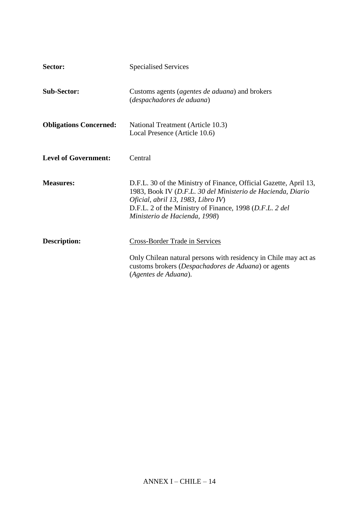| Sector:                       | <b>Specialised Services</b>                                                                                                                                                                                                                                        |
|-------------------------------|--------------------------------------------------------------------------------------------------------------------------------------------------------------------------------------------------------------------------------------------------------------------|
| <b>Sub-Sector:</b>            | Customs agents ( <i>agentes de aduana</i> ) and brokers<br>(despachadores de aduana)                                                                                                                                                                               |
| <b>Obligations Concerned:</b> | National Treatment (Article 10.3)<br>Local Presence (Article 10.6)                                                                                                                                                                                                 |
| <b>Level of Government:</b>   | Central                                                                                                                                                                                                                                                            |
| <b>Measures:</b>              | D.F.L. 30 of the Ministry of Finance, Official Gazette, April 13,<br>1983, Book IV (D.F.L. 30 del Ministerio de Hacienda, Diario<br>Oficial, abril 13, 1983, Libro IV)<br>D.F.L. 2 of the Ministry of Finance, 1998 (D.F.L. 2 del<br>Ministerio de Hacienda, 1998) |
| <b>Description:</b>           | Cross-Border Trade in Services<br>Only Chilean natural persons with residency in Chile may act as<br>customs brokers (Despachadores de Aduana) or agents<br>(Agentes de Aduana).                                                                                   |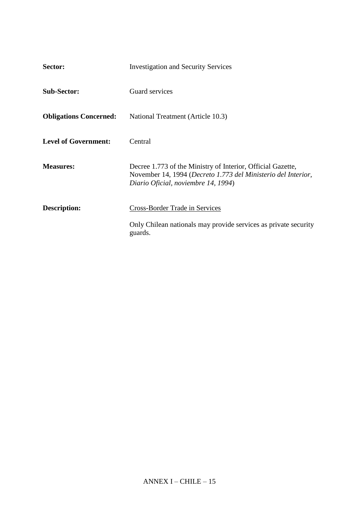| Sector:                       | <b>Investigation and Security Services</b>                                                                                                                          |
|-------------------------------|---------------------------------------------------------------------------------------------------------------------------------------------------------------------|
| <b>Sub-Sector:</b>            | Guard services                                                                                                                                                      |
| <b>Obligations Concerned:</b> | National Treatment (Article 10.3)                                                                                                                                   |
| <b>Level of Government:</b>   | Central                                                                                                                                                             |
| <b>Measures:</b>              | Decree 1.773 of the Ministry of Interior, Official Gazette,<br>November 14, 1994 (Decreto 1.773 del Ministerio del Interior,<br>Diario Oficial, noviembre 14, 1994) |
| Description:                  | Cross-Border Trade in Services                                                                                                                                      |
|                               | Only Chilean nationals may provide services as private security<br>guards.                                                                                          |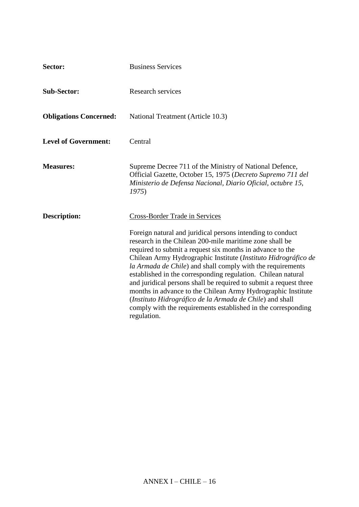| Sector:                       | <b>Business Services</b>                                                                                                                                                                                                                                                                                                                                                                                                                                                                                                                                                                                                                                                                                     |
|-------------------------------|--------------------------------------------------------------------------------------------------------------------------------------------------------------------------------------------------------------------------------------------------------------------------------------------------------------------------------------------------------------------------------------------------------------------------------------------------------------------------------------------------------------------------------------------------------------------------------------------------------------------------------------------------------------------------------------------------------------|
| <b>Sub-Sector:</b>            | <b>Research services</b>                                                                                                                                                                                                                                                                                                                                                                                                                                                                                                                                                                                                                                                                                     |
| <b>Obligations Concerned:</b> | National Treatment (Article 10.3)                                                                                                                                                                                                                                                                                                                                                                                                                                                                                                                                                                                                                                                                            |
| <b>Level of Government:</b>   | Central                                                                                                                                                                                                                                                                                                                                                                                                                                                                                                                                                                                                                                                                                                      |
| <b>Measures:</b>              | Supreme Decree 711 of the Ministry of National Defence,<br>Official Gazette, October 15, 1975 (Decreto Supremo 711 del<br>Ministerio de Defensa Nacional, Diario Oficial, octubre 15,<br>1975                                                                                                                                                                                                                                                                                                                                                                                                                                                                                                                |
| <b>Description:</b>           | <b>Cross-Border Trade in Services</b><br>Foreign natural and juridical persons intending to conduct<br>research in the Chilean 200-mile maritime zone shall be<br>required to submit a request six months in advance to the<br>Chilean Army Hydrographic Institute (Instituto Hidrográfico de<br>la Armada de Chile) and shall comply with the requirements<br>established in the corresponding regulation. Chilean natural<br>and juridical persons shall be required to submit a request three<br>months in advance to the Chilean Army Hydrographic Institute<br>(Instituto Hidrográfico de la Armada de Chile) and shall<br>comply with the requirements established in the corresponding<br>regulation. |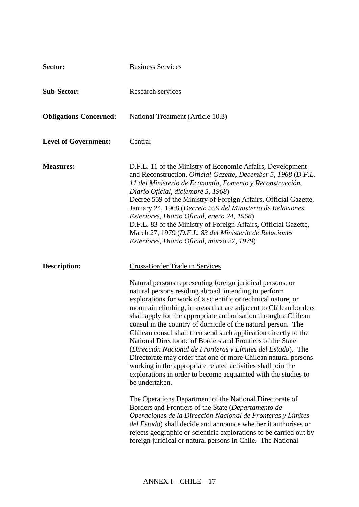| Sector:                       | <b>Business Services</b>                                                                                                                                                                                                                                                                                                                                                                                                                                                                                                                                                                                                                                                                                                                                                                                                                                                                                                                                                                                                                                                                                |
|-------------------------------|---------------------------------------------------------------------------------------------------------------------------------------------------------------------------------------------------------------------------------------------------------------------------------------------------------------------------------------------------------------------------------------------------------------------------------------------------------------------------------------------------------------------------------------------------------------------------------------------------------------------------------------------------------------------------------------------------------------------------------------------------------------------------------------------------------------------------------------------------------------------------------------------------------------------------------------------------------------------------------------------------------------------------------------------------------------------------------------------------------|
| <b>Sub-Sector:</b>            | <b>Research services</b>                                                                                                                                                                                                                                                                                                                                                                                                                                                                                                                                                                                                                                                                                                                                                                                                                                                                                                                                                                                                                                                                                |
| <b>Obligations Concerned:</b> | National Treatment (Article 10.3)                                                                                                                                                                                                                                                                                                                                                                                                                                                                                                                                                                                                                                                                                                                                                                                                                                                                                                                                                                                                                                                                       |
| <b>Level of Government:</b>   | Central                                                                                                                                                                                                                                                                                                                                                                                                                                                                                                                                                                                                                                                                                                                                                                                                                                                                                                                                                                                                                                                                                                 |
| <b>Measures:</b>              | D.F.L. 11 of the Ministry of Economic Affairs, Development<br>and Reconstruction, <i>Official Gazette, December 5, 1968 (D.F.L.</i><br>11 del Ministerio de Economía, Fomento y Reconstrucción,<br>Diario Oficial, diciembre 5, 1968)<br>Decree 559 of the Ministry of Foreign Affairs, Official Gazette,<br>January 24, 1968 (Decreto 559 del Ministerio de Relaciones<br>Exteriores, Diario Oficial, enero 24, 1968)<br>D.F.L. 83 of the Ministry of Foreign Affairs, Official Gazette,<br>March 27, 1979 (D.F.L. 83 del Ministerio de Relaciones<br>Exteriores, Diario Oficial, marzo 27, 1979)                                                                                                                                                                                                                                                                                                                                                                                                                                                                                                      |
| <b>Description:</b>           | Cross-Border Trade in Services<br>Natural persons representing foreign juridical persons, or<br>natural persons residing abroad, intending to perform<br>explorations for work of a scientific or technical nature, or<br>mountain climbing, in areas that are adjacent to Chilean borders<br>shall apply for the appropriate authorisation through a Chilean<br>consul in the country of domicile of the natural person. The<br>Chilean consul shall then send such application directly to the<br>National Directorate of Borders and Frontiers of the State<br>(Dirección Nacional de Fronteras y Límites del Estado). The<br>Directorate may order that one or more Chilean natural persons<br>working in the appropriate related activities shall join the<br>explorations in order to become acquainted with the studies to<br>be undertaken.<br>The Operations Department of the National Directorate of<br>Borders and Frontiers of the State (Departamento de<br>Operaciones de la Dirección Nacional de Fronteras y Límites<br>del Estado) shall decide and announce whether it authorises or |
|                               | rejects geographic or scientific explorations to be carried out by<br>foreign juridical or natural persons in Chile. The National                                                                                                                                                                                                                                                                                                                                                                                                                                                                                                                                                                                                                                                                                                                                                                                                                                                                                                                                                                       |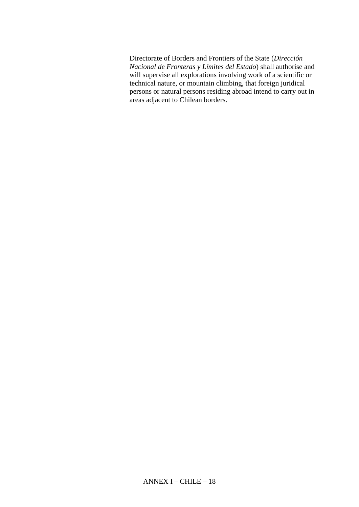Directorate of Borders and Frontiers of the State (*Dirección Nacional de Fronteras y Límites del Estado*) shall authorise and will supervise all explorations involving work of a scientific or technical nature, or mountain climbing, that foreign juridical persons or natural persons residing abroad intend to carry out in areas adjacent to Chilean borders.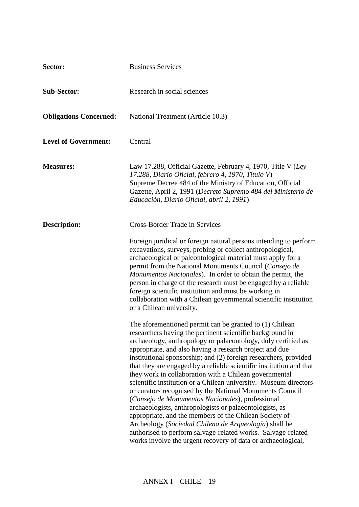| Sector:                       | <b>Business Services</b>                                                                                                                                                                                                                                                                                                                                                                                                                                                                                                                                                                                                                                                                                                                                                                                                                                                                                                                                  |
|-------------------------------|-----------------------------------------------------------------------------------------------------------------------------------------------------------------------------------------------------------------------------------------------------------------------------------------------------------------------------------------------------------------------------------------------------------------------------------------------------------------------------------------------------------------------------------------------------------------------------------------------------------------------------------------------------------------------------------------------------------------------------------------------------------------------------------------------------------------------------------------------------------------------------------------------------------------------------------------------------------|
| <b>Sub-Sector:</b>            | Research in social sciences                                                                                                                                                                                                                                                                                                                                                                                                                                                                                                                                                                                                                                                                                                                                                                                                                                                                                                                               |
| <b>Obligations Concerned:</b> | National Treatment (Article 10.3)                                                                                                                                                                                                                                                                                                                                                                                                                                                                                                                                                                                                                                                                                                                                                                                                                                                                                                                         |
| <b>Level of Government:</b>   | Central                                                                                                                                                                                                                                                                                                                                                                                                                                                                                                                                                                                                                                                                                                                                                                                                                                                                                                                                                   |
| <b>Measures:</b>              | Law 17.288, Official Gazette, February 4, 1970, Title V (Ley<br>17.288, Diario Oficial, febrero 4, 1970, Título V)<br>Supreme Decree 484 of the Ministry of Education, Official<br>Gazette, April 2, 1991 (Decreto Supremo 484 del Ministerio de<br>Educación, Diario Oficial, abril 2, 1991)                                                                                                                                                                                                                                                                                                                                                                                                                                                                                                                                                                                                                                                             |
| <b>Description:</b>           | Cross-Border Trade in Services                                                                                                                                                                                                                                                                                                                                                                                                                                                                                                                                                                                                                                                                                                                                                                                                                                                                                                                            |
|                               | Foreign juridical or foreign natural persons intending to perform<br>excavations, surveys, probing or collect anthropological,<br>archaeological or paleontological material must apply for a<br>permit from the National Monuments Council (Consejo de<br>Monumentos Nacionales). In order to obtain the permit, the<br>person in charge of the research must be engaged by a reliable<br>foreign scientific institution and must be working in<br>collaboration with a Chilean governmental scientific institution<br>or a Chilean university.                                                                                                                                                                                                                                                                                                                                                                                                          |
|                               | The aforementioned permit can be granted to $(1)$ Chilean<br>researchers having the pertinent scientific background in<br>archaeology, anthropology or palaeontology, duly certified as<br>appropriate, and also having a research project and due<br>institutional sponsorship; and (2) foreign researchers, provided<br>that they are engaged by a reliable scientific institution and that<br>they work in collaboration with a Chilean governmental<br>scientific institution or a Chilean university. Museum directors<br>or curators recognised by the National Monuments Council<br>(Consejo de Monumentos Nacionales), professional<br>archaeologists, anthropologists or palaeontologists, as<br>appropriate, and the members of the Chilean Society of<br>Archeology (Sociedad Chilena de Arqueología) shall be<br>authorised to perform salvage-related works. Salvage-related<br>works involve the urgent recovery of data or archaeological, |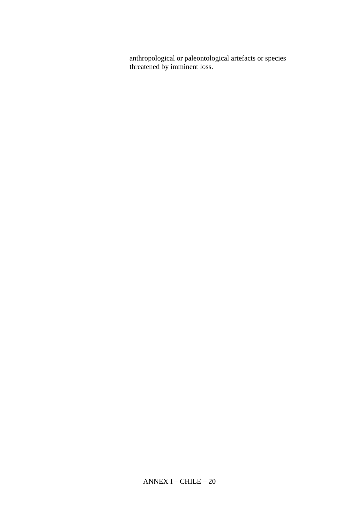anthropological or paleontological artefacts or species threatened by imminent loss.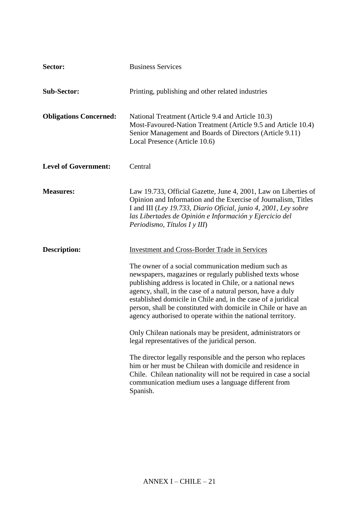| Sector:                       | <b>Business Services</b>                                                                                                                                                                                                                                                                                                                                                                                                                                                                                                                                                                                                                                                                                                                                                                                                                                                                  |
|-------------------------------|-------------------------------------------------------------------------------------------------------------------------------------------------------------------------------------------------------------------------------------------------------------------------------------------------------------------------------------------------------------------------------------------------------------------------------------------------------------------------------------------------------------------------------------------------------------------------------------------------------------------------------------------------------------------------------------------------------------------------------------------------------------------------------------------------------------------------------------------------------------------------------------------|
| <b>Sub-Sector:</b>            | Printing, publishing and other related industries                                                                                                                                                                                                                                                                                                                                                                                                                                                                                                                                                                                                                                                                                                                                                                                                                                         |
| <b>Obligations Concerned:</b> | National Treatment (Article 9.4 and Article 10.3)<br>Most-Favoured-Nation Treatment (Article 9.5 and Article 10.4)<br>Senior Management and Boards of Directors (Article 9.11)<br>Local Presence (Article 10.6)                                                                                                                                                                                                                                                                                                                                                                                                                                                                                                                                                                                                                                                                           |
| <b>Level of Government:</b>   | Central                                                                                                                                                                                                                                                                                                                                                                                                                                                                                                                                                                                                                                                                                                                                                                                                                                                                                   |
| <b>Measures:</b>              | Law 19.733, Official Gazette, June 4, 2001, Law on Liberties of<br>Opinion and Information and the Exercise of Journalism, Titles<br>I and III (Ley 19.733, Diario Oficial, junio 4, 2001, Ley sobre<br>las Libertades de Opinión e Información y Ejercicio del<br>Periodismo, Títulos I y III)                                                                                                                                                                                                                                                                                                                                                                                                                                                                                                                                                                                           |
| <b>Description:</b>           | <b>Investment and Cross-Border Trade in Services</b><br>The owner of a social communication medium such as<br>newspapers, magazines or regularly published texts whose<br>publishing address is located in Chile, or a national news<br>agency, shall, in the case of a natural person, have a duly<br>established domicile in Chile and, in the case of a juridical<br>person, shall be constituted with domicile in Chile or have an<br>agency authorised to operate within the national territory.<br>Only Chilean nationals may be president, administrators or<br>legal representatives of the juridical person.<br>The director legally responsible and the person who replaces<br>him or her must be Chilean with domicile and residence in<br>Chile. Chilean nationality will not be required in case a social<br>communication medium uses a language different from<br>Spanish. |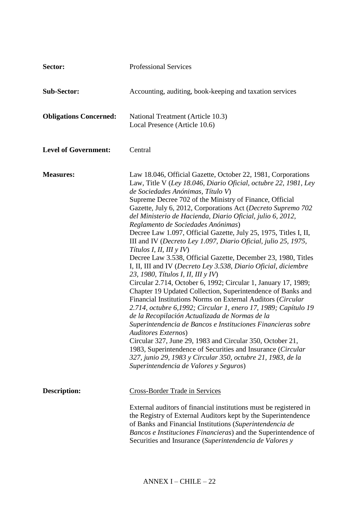| Sector:                       | <b>Professional Services</b>                                                                                                                                                                                                                                                                                                                                                                                                                                                                                                                                                                                                                                                                                                                                                                                                                                                                                                                                                                                                                                                                                                                                                                                                                                                                                                                                                                    |
|-------------------------------|-------------------------------------------------------------------------------------------------------------------------------------------------------------------------------------------------------------------------------------------------------------------------------------------------------------------------------------------------------------------------------------------------------------------------------------------------------------------------------------------------------------------------------------------------------------------------------------------------------------------------------------------------------------------------------------------------------------------------------------------------------------------------------------------------------------------------------------------------------------------------------------------------------------------------------------------------------------------------------------------------------------------------------------------------------------------------------------------------------------------------------------------------------------------------------------------------------------------------------------------------------------------------------------------------------------------------------------------------------------------------------------------------|
| <b>Sub-Sector:</b>            | Accounting, auditing, book-keeping and taxation services                                                                                                                                                                                                                                                                                                                                                                                                                                                                                                                                                                                                                                                                                                                                                                                                                                                                                                                                                                                                                                                                                                                                                                                                                                                                                                                                        |
| <b>Obligations Concerned:</b> | National Treatment (Article 10.3)<br>Local Presence (Article 10.6)                                                                                                                                                                                                                                                                                                                                                                                                                                                                                                                                                                                                                                                                                                                                                                                                                                                                                                                                                                                                                                                                                                                                                                                                                                                                                                                              |
| <b>Level of Government:</b>   | Central                                                                                                                                                                                                                                                                                                                                                                                                                                                                                                                                                                                                                                                                                                                                                                                                                                                                                                                                                                                                                                                                                                                                                                                                                                                                                                                                                                                         |
| <b>Measures:</b>              | Law 18.046, Official Gazette, October 22, 1981, Corporations<br>Law, Title V (Ley 18.046, Diario Oficial, octubre 22, 1981, Ley<br>de Sociedades Anónimas, Título V)<br>Supreme Decree 702 of the Ministry of Finance, Official<br>Gazette, July 6, 2012, Corporations Act (Decreto Supremo 702<br>del Ministerio de Hacienda, Diario Oficial, julio 6, 2012,<br>Reglamento de Sociedades Anónimas)<br>Decree Law 1.097, Official Gazette, July 25, 1975, Titles I, II,<br>III and IV (Decreto Ley 1.097, Diario Oficial, julio 25, 1975,<br>Títulos I, II, III y IV)<br>Decree Law 3.538, Official Gazette, December 23, 1980, Titles<br>I, II, III and IV (Decreto Ley 3.538, Diario Oficial, diciembre<br>23, 1980, Títulos I, II, III y IV)<br>Circular 2.714, October 6, 1992; Circular 1, January 17, 1989;<br>Chapter 19 Updated Collection, Superintendence of Banks and<br>Financial Institutions Norms on External Auditors (Circular<br>2.714, octubre 6,1992; Circular 1, enero 17, 1989; Capítulo 19<br>de la Recopilación Actualizada de Normas de la<br>Superintendencia de Bancos e Instituciones Financieras sobre<br>Auditores Externos)<br>Circular 327, June 29, 1983 and Circular 350, October 21,<br>1983, Superintendence of Securities and Insurance (Circular<br>327, junio 29, 1983 y Circular 350, octubre 21, 1983, de la<br>Superintendencia de Valores y Seguros) |
| <b>Description:</b>           | <b>Cross-Border Trade in Services</b><br>External auditors of financial institutions must be registered in                                                                                                                                                                                                                                                                                                                                                                                                                                                                                                                                                                                                                                                                                                                                                                                                                                                                                                                                                                                                                                                                                                                                                                                                                                                                                      |
|                               | the Registry of External Auditors kept by the Superintendence<br>of Banks and Financial Institutions (Superintendencia de<br>Bancos e Instituciones Financieras) and the Superintendence of<br>Securities and Insurance (Superintendencia de Valores y                                                                                                                                                                                                                                                                                                                                                                                                                                                                                                                                                                                                                                                                                                                                                                                                                                                                                                                                                                                                                                                                                                                                          |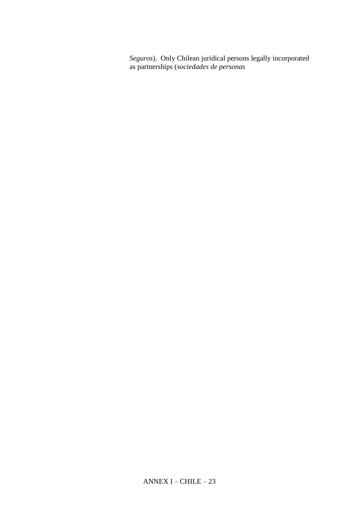*Seguros*). Only Chilean juridical persons legally incorporated as partnerships (*sociedades de personas*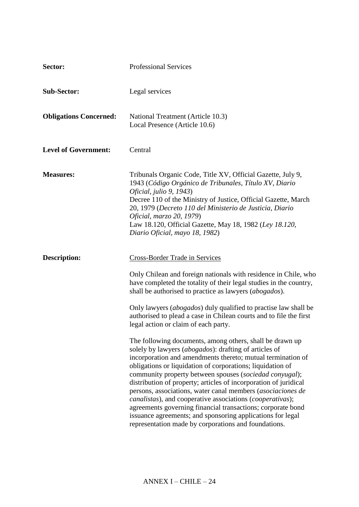| Sector:                       | <b>Professional Services</b>                                                                                                                                                                                                                                                                                                                                                                                                                                                                                                                                                                                                                                                                                                                                                                                                                                                                                                                                                                                                                                                                                                         |
|-------------------------------|--------------------------------------------------------------------------------------------------------------------------------------------------------------------------------------------------------------------------------------------------------------------------------------------------------------------------------------------------------------------------------------------------------------------------------------------------------------------------------------------------------------------------------------------------------------------------------------------------------------------------------------------------------------------------------------------------------------------------------------------------------------------------------------------------------------------------------------------------------------------------------------------------------------------------------------------------------------------------------------------------------------------------------------------------------------------------------------------------------------------------------------|
| <b>Sub-Sector:</b>            | Legal services                                                                                                                                                                                                                                                                                                                                                                                                                                                                                                                                                                                                                                                                                                                                                                                                                                                                                                                                                                                                                                                                                                                       |
| <b>Obligations Concerned:</b> | National Treatment (Article 10.3)<br>Local Presence (Article 10.6)                                                                                                                                                                                                                                                                                                                                                                                                                                                                                                                                                                                                                                                                                                                                                                                                                                                                                                                                                                                                                                                                   |
| <b>Level of Government:</b>   | Central                                                                                                                                                                                                                                                                                                                                                                                                                                                                                                                                                                                                                                                                                                                                                                                                                                                                                                                                                                                                                                                                                                                              |
| <b>Measures:</b>              | Tribunals Organic Code, Title XV, Official Gazette, July 9,<br>1943 (Código Orgánico de Tribunales, Título XV, Diario<br>Oficial, julio 9, 1943)<br>Decree 110 of the Ministry of Justice, Official Gazette, March<br>20, 1979 (Decreto 110 del Ministerio de Justicia, Diario<br><i>Oficial, marzo 20, 1979</i> )<br>Law 18.120, Official Gazette, May 18, 1982 (Ley 18.120,<br>Diario Oficial, mayo 18, 1982)                                                                                                                                                                                                                                                                                                                                                                                                                                                                                                                                                                                                                                                                                                                      |
| <b>Description:</b>           | <b>Cross-Border Trade in Services</b><br>Only Chilean and foreign nationals with residence in Chile, who<br>have completed the totality of their legal studies in the country,<br>shall be authorised to practice as lawyers ( <i>abogados</i> ).<br>Only lawyers (abogados) duly qualified to practise law shall be<br>authorised to plead a case in Chilean courts and to file the first<br>legal action or claim of each party.<br>The following documents, among others, shall be drawn up<br>solely by lawyers (abogados): drafting of articles of<br>incorporation and amendments thereto; mutual termination of<br>obligations or liquidation of corporations; liquidation of<br>community property between spouses (sociedad conyugal);<br>distribution of property; articles of incorporation of juridical<br>persons, associations, water canal members (asociaciones de<br>canalistas), and cooperative associations (cooperativas);<br>agreements governing financial transactions; corporate bond<br>issuance agreements; and sponsoring applications for legal<br>representation made by corporations and foundations. |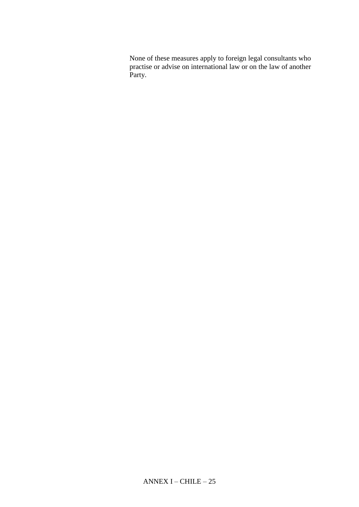None of these measures apply to foreign legal consultants who practise or advise on international law or on the law of another Party.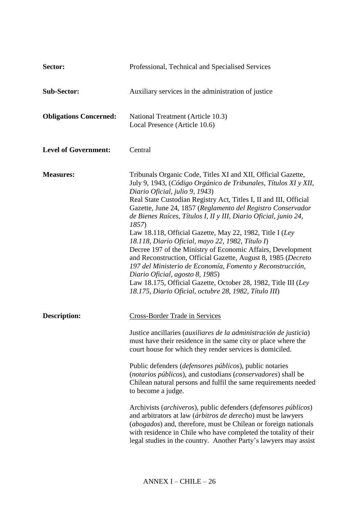| Sector:                       | Professional, Technical and Specialised Services                                                                                                                                                                                                                                                                                                                                                                                                                                                                                                                                                                                                                                                                                                                                                                                                              |
|-------------------------------|---------------------------------------------------------------------------------------------------------------------------------------------------------------------------------------------------------------------------------------------------------------------------------------------------------------------------------------------------------------------------------------------------------------------------------------------------------------------------------------------------------------------------------------------------------------------------------------------------------------------------------------------------------------------------------------------------------------------------------------------------------------------------------------------------------------------------------------------------------------|
| <b>Sub-Sector:</b>            | Auxiliary services in the administration of justice                                                                                                                                                                                                                                                                                                                                                                                                                                                                                                                                                                                                                                                                                                                                                                                                           |
| <b>Obligations Concerned:</b> | National Treatment (Article 10.3)<br>Local Presence (Article 10.6)                                                                                                                                                                                                                                                                                                                                                                                                                                                                                                                                                                                                                                                                                                                                                                                            |
| <b>Level of Government:</b>   | Central                                                                                                                                                                                                                                                                                                                                                                                                                                                                                                                                                                                                                                                                                                                                                                                                                                                       |
| <b>Measures:</b>              | Tribunals Organic Code, Titles XI and XII, Official Gazette,<br>July 9, 1943, (Código Orgánico de Tribunales, Títulos XI y XII,<br>Diario Oficial, julio 9, 1943)<br>Real State Custodian Registry Act, Titles I, II and III, Official<br>Gazette, June 24, 1857 (Reglamento del Registro Conservador<br>de Bienes Raíces, Títulos I, II y III, Diario Oficial, junio 24,<br>1857)<br>Law 18.118, Official Gazette, May 22, 1982, Title I (Ley<br>18.118, Diario Oficial, mayo 22, 1982, Título I)<br>Decree 197 of the Ministry of Economic Affairs, Development<br>and Reconstruction, Official Gazette, August 8, 1985 (Decreto<br>197 del Ministerio de Economía, Fomento y Reconstrucción,<br>Diario Oficial, agosto 8, 1985)<br>Law 18.175, Official Gazette, October 28, 1982, Title III (Ley<br>18.175, Diario Oficial, octubre 28, 1982, Título III) |
| <b>Description:</b>           | Cross-Border Trade in Services<br>Justice ancillaries (auxiliares de la administración de justicia)<br>must have their residence in the same city or place where the<br>court house for which they render services is domiciled.<br>Public defenders ( <i>defensores públicos</i> ), public notaries<br>(notarios públicos), and custodians (conservadores) shall be<br>Chilean natural persons and fulfil the same requirements needed<br>to become a judge.<br>Archivists (archiveros), public defenders (defensores públicos)<br>and arbitrators at law (árbitros de derecho) must be lawyers<br>(abogados) and, therefore, must be Chilean or foreign nationals<br>with residence in Chile who have completed the totality of their<br>legal studies in the country. Another Party's lawyers may assist                                                   |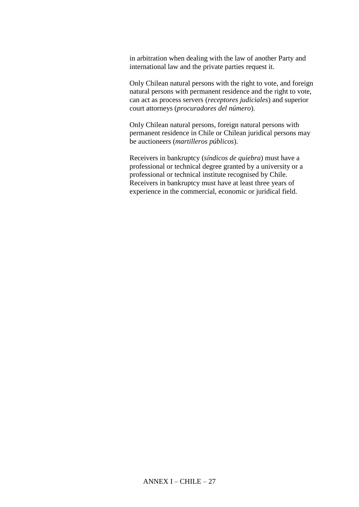in arbitration when dealing with the law of another Party and international law and the private parties request it.

Only Chilean natural persons with the right to vote, and foreign natural persons with permanent residence and the right to vote, can act as process servers (*receptores judiciales*) and superior court attorneys (*procuradores del número*).

Only Chilean natural persons, foreign natural persons with permanent residence in Chile or Chilean juridical persons may be auctioneers (*martilleros públicos*).

Receivers in bankruptcy (*síndicos de quiebra*) must have a professional or technical degree granted by a university or a professional or technical institute recognised by Chile. Receivers in bankruptcy must have at least three years of experience in the commercial, economic or juridical field.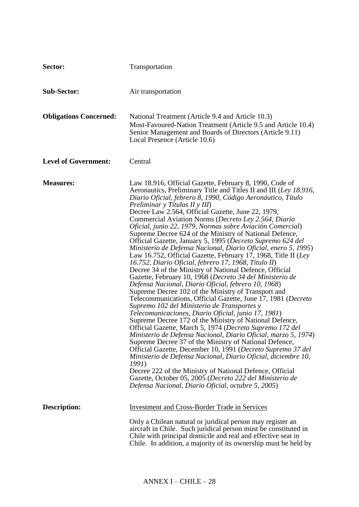| Sector:                       | <b>Transportation</b>                                                                                                                                                                                                                                                                                                                                                                                                                                                                                                                                                                                                                                                                                                                                                                                                                                                                                                                                                                                                                                                                                                                                                                                                                                                                                                                                                                                                                                                                                                                                                                                                                                                                                              |
|-------------------------------|--------------------------------------------------------------------------------------------------------------------------------------------------------------------------------------------------------------------------------------------------------------------------------------------------------------------------------------------------------------------------------------------------------------------------------------------------------------------------------------------------------------------------------------------------------------------------------------------------------------------------------------------------------------------------------------------------------------------------------------------------------------------------------------------------------------------------------------------------------------------------------------------------------------------------------------------------------------------------------------------------------------------------------------------------------------------------------------------------------------------------------------------------------------------------------------------------------------------------------------------------------------------------------------------------------------------------------------------------------------------------------------------------------------------------------------------------------------------------------------------------------------------------------------------------------------------------------------------------------------------------------------------------------------------------------------------------------------------|
| <b>Sub-Sector:</b>            | Air transportation                                                                                                                                                                                                                                                                                                                                                                                                                                                                                                                                                                                                                                                                                                                                                                                                                                                                                                                                                                                                                                                                                                                                                                                                                                                                                                                                                                                                                                                                                                                                                                                                                                                                                                 |
| <b>Obligations Concerned:</b> | National Treatment (Article 9.4 and Article 10.3)<br>Most-Favoured-Nation Treatment (Article 9.5 and Article 10.4)<br>Senior Management and Boards of Directors (Article 9.11)<br>Local Presence (Article 10.6)                                                                                                                                                                                                                                                                                                                                                                                                                                                                                                                                                                                                                                                                                                                                                                                                                                                                                                                                                                                                                                                                                                                                                                                                                                                                                                                                                                                                                                                                                                    |
| <b>Level of Government:</b>   | Central                                                                                                                                                                                                                                                                                                                                                                                                                                                                                                                                                                                                                                                                                                                                                                                                                                                                                                                                                                                                                                                                                                                                                                                                                                                                                                                                                                                                                                                                                                                                                                                                                                                                                                            |
| <b>Measures:</b>              | Law 18.916, Official Gazette, February 8, 1990, Code of<br>Aeronautics, Preliminary Title and Titles II and III (Ley 18.916,<br>Diario Oficial, febrero 8, 1990, Código Aeronáutico, Título<br>Preliminar y Títulos II y III)<br>Decree Law 2.564, Official Gazette, June 22, 1979,<br>Commercial Aviation Norms (Decreto Ley 2.564, Diario<br>Oficial, junio 22, 1979, Normas sobre Aviación Comercial)<br>Supreme Decree 624 of the Ministry of National Defence,<br>Official Gazette, January 5, 1995 (Decreto Supremo 624 del<br>Ministerio de Defensa Nacional, Diario Oficial, enero 5, 1995)<br>Law 16.752, Official Gazette, February 17, 1968, Title II (Ley<br>16.752, Diario Oficial, febrero 17, 1968, Título II)<br>Decree 34 of the Ministry of National Defence, Official<br>Gazette, February 10, 1968 (Decreto 34 del Ministerio de<br>Defensa Nacional, Diario Oficial, febrero 10, 1968)<br>Supreme Decree 102 of the Ministry of Transport and<br>Telecommunications, Official Gazette, June 17, 1981 (Decreto<br>Supremo 102 del Ministerio de Transportes y<br>Telecomunicaciones, Diario Oficial, junio 17, 1981)<br>Supreme Decree 172 of the Ministry of National Defence,<br>Official Gazette, March 5, 1974 (Decreto Supremo 172 del<br>Ministerio de Defensa Nacional, Diario Oficial, marzo 5, 1974)<br>Supreme Decree 37 of the Ministry of National Defence,<br>Official Gazette, December 10, 1991 (Decreto Supremo 37 del<br>Ministerio de Defensa Nacional, Diario Oficial, diciembre 10,<br>1991)<br>Decree 222 of the Ministry of National Defence, Official<br>Gazette, October 05, 2005 (Decreto 222 del Ministerio de<br>Defensa Nacional, Diario Oficial, octubre 5, 2005) |
| <b>Description:</b>           | <b>Investment and Cross-Border Trade in Services</b><br>Only a Chilean natural or juridical person may register an<br>aircraft in Chile. Such juridical person must be constituted in<br>Chile with principal domicile and real and effective seat in<br>Chile. In addition, a majority of its ownership must be held by                                                                                                                                                                                                                                                                                                                                                                                                                                                                                                                                                                                                                                                                                                                                                                                                                                                                                                                                                                                                                                                                                                                                                                                                                                                                                                                                                                                           |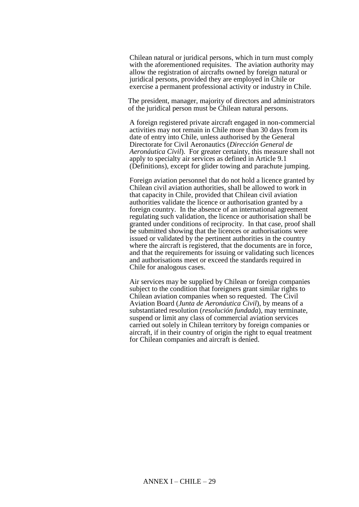Chilean natural or juridical persons, which in turn must comply with the aforementioned requisites. The aviation authority may allow the registration of aircrafts owned by foreign natural or juridical persons, provided they are employed in Chile or exercise a permanent professional activity or industry in Chile.

The president, manager, majority of directors and administrators of the juridical person must be Chilean natural persons.

A foreign registered private aircraft engaged in non-commercial activities may not remain in Chile more than 30 days from its date of entry into Chile, unless authorised by the General Directorate for Civil Aeronautics (*Dirección General de Aeronáutica Civil*). For greater certainty, this measure shall not apply to specialty air services as defined in Article 9.1 (Definitions), except for glider towing and parachute jumping.

Foreign aviation personnel that do not hold a licence granted by Chilean civil aviation authorities, shall be allowed to work in that capacity in Chile, provided that Chilean civil aviation authorities validate the licence or authorisation granted by a foreign country. In the absence of an international agreement regulating such validation, the licence or authorisation shall be granted under conditions of reciprocity. In that case, proof shall be submitted showing that the licences or authorisations were issued or validated by the pertinent authorities in the country where the aircraft is registered, that the documents are in force, and that the requirements for issuing or validating such licences and authorisations meet or exceed the standards required in Chile for analogous cases.

Air services may be supplied by Chilean or foreign companies subject to the condition that foreigners grant similar rights to Chilean aviation companies when so requested. The Civil Aviation Board (*Junta de Aeronáutica Civil*), by means of a substantiated resolution (*resolución fundada*), may terminate, suspend or limit any class of commercial aviation services carried out solely in Chilean territory by foreign companies or aircraft, if in their country of origin the right to equal treatment for Chilean companies and aircraft is denied.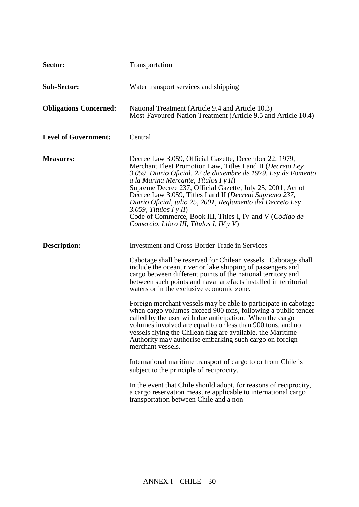| Sector:                       | Transportation                                                                                                                                                                                                                                                                                                                                                                                                                                                                                                                                            |
|-------------------------------|-----------------------------------------------------------------------------------------------------------------------------------------------------------------------------------------------------------------------------------------------------------------------------------------------------------------------------------------------------------------------------------------------------------------------------------------------------------------------------------------------------------------------------------------------------------|
| <b>Sub-Sector:</b>            | Water transport services and shipping                                                                                                                                                                                                                                                                                                                                                                                                                                                                                                                     |
| <b>Obligations Concerned:</b> | National Treatment (Article 9.4 and Article 10.3)<br>Most-Favoured-Nation Treatment (Article 9.5 and Article 10.4)                                                                                                                                                                                                                                                                                                                                                                                                                                        |
| <b>Level of Government:</b>   | Central                                                                                                                                                                                                                                                                                                                                                                                                                                                                                                                                                   |
| <b>Measures:</b>              | Decree Law 3.059, Official Gazette, December 22, 1979,<br>Merchant Fleet Promotion Law, Titles I and II (Decreto Ley<br>3.059, Diario Oficial, 22 de diciembre de 1979, Ley de Fomento<br>a la Marina Mercante, Títulos I y II)<br>Supreme Decree 237, Official Gazette, July 25, 2001, Act of<br>Decree Law 3.059, Titles I and II (Decreto Supremo 237,<br>Diario Oficial, julio 25, 2001, Reglamento del Decreto Ley<br>3.059, Títulos I y II)<br>Code of Commerce, Book III, Titles I, IV and V (Código de<br>Comercio, Libro III, Títulos I, IV y V) |
| <b>Description:</b>           | <b>Investment and Cross-Border Trade in Services</b>                                                                                                                                                                                                                                                                                                                                                                                                                                                                                                      |
|                               | Cabotage shall be reserved for Chilean vessels. Cabotage shall<br>include the ocean, river or lake shipping of passengers and<br>cargo between different points of the national territory and<br>between such points and naval artefacts installed in territorial<br>waters or in the exclusive economic zone.                                                                                                                                                                                                                                            |
|                               | Foreign merchant vessels may be able to participate in cabotage<br>when cargo volumes exceed 900 tons, following a public tender<br>called by the user with due anticipation. When the cargo<br>volumes involved are equal to or less than 900 tons, and no<br>vessels flying the Chilean flag are available, the Maritime<br>Authority may authorise embarking such cargo on foreign<br>merchant vessels.                                                                                                                                                |
|                               | International maritime transport of cargo to or from Chile is<br>subject to the principle of reciprocity.                                                                                                                                                                                                                                                                                                                                                                                                                                                 |
|                               | In the event that Chile should adopt, for reasons of reciprocity,<br>a cargo reservation measure applicable to international cargo<br>transportation between Chile and a non-                                                                                                                                                                                                                                                                                                                                                                             |
|                               |                                                                                                                                                                                                                                                                                                                                                                                                                                                                                                                                                           |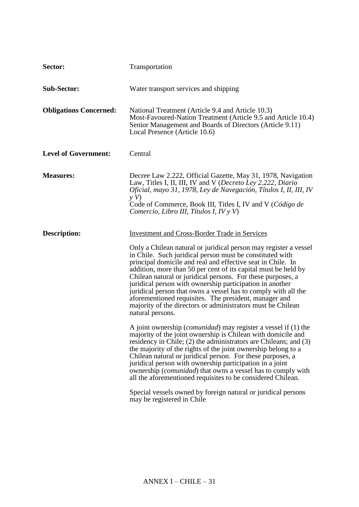| Sector:                       | Transportation                                                                                                                                                                                                                                                                                                                                                                                                                                                                                                                                                                                         |
|-------------------------------|--------------------------------------------------------------------------------------------------------------------------------------------------------------------------------------------------------------------------------------------------------------------------------------------------------------------------------------------------------------------------------------------------------------------------------------------------------------------------------------------------------------------------------------------------------------------------------------------------------|
| <b>Sub-Sector:</b>            | Water transport services and shipping                                                                                                                                                                                                                                                                                                                                                                                                                                                                                                                                                                  |
| <b>Obligations Concerned:</b> | National Treatment (Article 9.4 and Article 10.3)<br>Most-Favoured-Nation Treatment (Article 9.5 and Article 10.4)<br>Senior Management and Boards of Directors (Article 9.11)<br>Local Presence (Article 10.6)                                                                                                                                                                                                                                                                                                                                                                                        |
| <b>Level of Government:</b>   | Central                                                                                                                                                                                                                                                                                                                                                                                                                                                                                                                                                                                                |
| <b>Measures:</b>              | Decree Law 2.222, Official Gazette, May 31, 1978, Navigation<br>Law, Titles I, II, III, IV and V (Decreto Ley 2.222, Diario<br>Oficial, mayo 31, 1978, Ley de Navegación, Títulos I, II, III, IV<br>yV<br>Code of Commerce, Book III, Titles I, IV and V (Código de<br>Comercio, Libro III, Títulos I, IV y V)                                                                                                                                                                                                                                                                                         |
| <b>Description:</b>           | <b>Investment and Cross-Border Trade in Services</b>                                                                                                                                                                                                                                                                                                                                                                                                                                                                                                                                                   |
|                               | Only a Chilean natural or juridical person may register a vessel<br>in Chile. Such juridical person must be constituted with<br>principal domicile and real and effective seat in Chile. In<br>addition, more than 50 per cent of its capital must be held by<br>Chilean natural or juridical persons. For these purposes, a<br>juridical person with ownership participation in another<br>juridical person that owns a vessel has to comply with all the<br>aforementioned requisites. The president, manager and<br>majority of the directors or administrators must be Chilean<br>natural persons. |
|                               | A joint ownership ( <i>comunidad</i> ) may register a vessel if (1) the<br>majority of the joint ownership is Chilean with domicile and<br>residency in Chile; (2) the administrators are Chileans; and (3)<br>the majority of the rights of the joint ownership belong to a<br>Chilean natural or juridical person. For these purposes, a<br>juridical person with ownership participation in a joint<br>ownership ( <i>comunidad</i> ) that owns a vessel has to comply with<br>all the aforementioned requisites to be considered Chilean.                                                          |
|                               | Special vessels owned by foreign natural or juridical persons<br>may be registered in Chile                                                                                                                                                                                                                                                                                                                                                                                                                                                                                                            |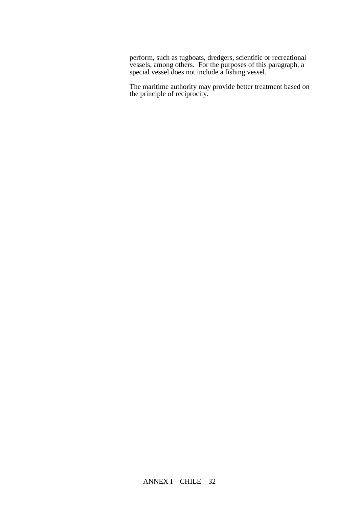perform, such as tugboats, dredgers, scientific or recreational vessels, among others. For the purposes of this paragraph, a special vessel does not include a fishing vessel.

The maritime authority may provide better treatment based on the principle of reciprocity.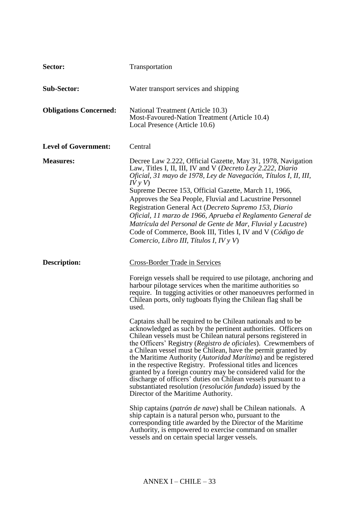| Sector:                       | Transportation                                                                                                                                                                                                                                                                                                                                                                                                                                                                                                                                                                                                                                                                                                      |
|-------------------------------|---------------------------------------------------------------------------------------------------------------------------------------------------------------------------------------------------------------------------------------------------------------------------------------------------------------------------------------------------------------------------------------------------------------------------------------------------------------------------------------------------------------------------------------------------------------------------------------------------------------------------------------------------------------------------------------------------------------------|
| <b>Sub-Sector:</b>            | Water transport services and shipping                                                                                                                                                                                                                                                                                                                                                                                                                                                                                                                                                                                                                                                                               |
| <b>Obligations Concerned:</b> | National Treatment (Article 10.3)<br>Most-Favoured-Nation Treatment (Article 10.4)<br>Local Presence (Article 10.6)                                                                                                                                                                                                                                                                                                                                                                                                                                                                                                                                                                                                 |
| <b>Level of Government:</b>   | Central                                                                                                                                                                                                                                                                                                                                                                                                                                                                                                                                                                                                                                                                                                             |
| <b>Measures:</b>              | Decree Law 2.222, Official Gazette, May 31, 1978, Navigation<br>Law, Titles I, II, III, IV and V (Decreto Ley 2.222, Diario<br>Oficial, 31 mayo de 1978, Ley de Navegación, Títulos I, II, III,<br>I V y V<br>Supreme Decree 153, Official Gazette, March 11, 1966,<br>Approves the Sea People, Fluvial and Lacustrine Personnel<br>Registration General Act (Decreto Supremo 153, Diario<br>Oficial, 11 marzo de 1966, Aprueba el Reglamento General de<br>Matrícula del Personal de Gente de Mar, Fluvial y Lacustre)<br>Code of Commerce, Book III, Titles I, IV and V (Código de<br>Comercio, Libro III, Títulos I, IV y V)                                                                                     |
| <b>Description:</b>           | <b>Cross-Border Trade in Services</b>                                                                                                                                                                                                                                                                                                                                                                                                                                                                                                                                                                                                                                                                               |
|                               | Foreign vessels shall be required to use pilotage, anchoring and<br>harbour pilotage services when the maritime authorities so<br>require. In tugging activities or other manoeuvres performed in<br>Chilean ports, only tugboats flying the Chilean flag shall be<br>used.                                                                                                                                                                                                                                                                                                                                                                                                                                         |
|                               | Captains shall be required to be Chilean nationals and to be<br>acknowledged as such by the pertinent authorities. Officers on<br>Chilean vessels must be Chilean natural persons registered in<br>the Officers' Registry (Registro de oficiales). Crewmembers of<br>a Chilean vessel must be Chilean, have the permit granted by<br>the Maritime Authority (Autoridad Marítima) and be registered<br>in the respective Registry. Professional titles and licences<br>granted by a foreign country may be considered valid for the<br>discharge of officers' duties on Chilean vessels pursuant to a<br>substantiated resolution ( <i>resolución fundada</i> ) issued by the<br>Director of the Maritime Authority. |
|                               | Ship captains ( <i>patrón de nave</i> ) shall be Chilean nationals. A<br>ship captain is a natural person who, pursuant to the<br>corresponding title awarded by the Director of the Maritime<br>Authority, is empowered to exercise command on smaller<br>vessels and on certain special larger vessels.                                                                                                                                                                                                                                                                                                                                                                                                           |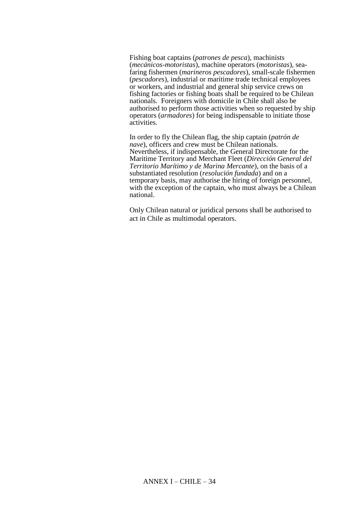Fishing boat captains (*patrones de pesca*), machinists (*mecánicos-motoristas*), machine operators (*motoristas*), seafaring fishermen (*marineros pescadores*), small-scale fishermen (*pescadores*), industrial or maritime trade technical employees or workers, and industrial and general ship service crews on fishing factories or fishing boats shall be required to be Chilean nationals. Foreigners with domicile in Chile shall also be authorised to perform those activities when so requested by ship operators (*armadores*) for being indispensable to initiate those activities.

In order to fly the Chilean flag, the ship captain (*patrón de nave*), officers and crew must be Chilean nationals. Nevertheless, if indispensable, the General Directorate for the Maritime Territory and Merchant Fleet (*Dirección General del Territorio Marítimo y de Marina Mercante*), on the basis of a substantiated resolution (*resolución fundada*) and on a temporary basis, may authorise the hiring of foreign personnel, with the exception of the captain, who must always be a Chilean national.

Only Chilean natural or juridical persons shall be authorised to act in Chile as multimodal operators.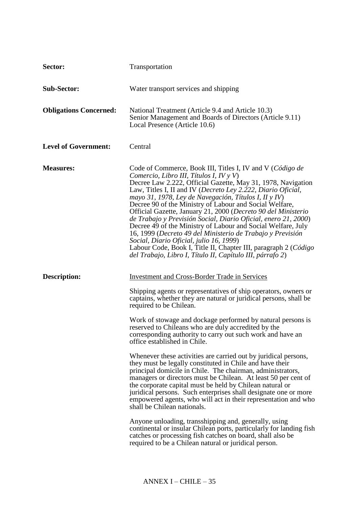| Sector:                       | Transportation                                                                                                                                                                                                                                                                                                                                                                                                                                                                                                                                                                                                                                                                                                                                                                                                                                                                                                                                                                                                                                                                                                                           |
|-------------------------------|------------------------------------------------------------------------------------------------------------------------------------------------------------------------------------------------------------------------------------------------------------------------------------------------------------------------------------------------------------------------------------------------------------------------------------------------------------------------------------------------------------------------------------------------------------------------------------------------------------------------------------------------------------------------------------------------------------------------------------------------------------------------------------------------------------------------------------------------------------------------------------------------------------------------------------------------------------------------------------------------------------------------------------------------------------------------------------------------------------------------------------------|
| <b>Sub-Sector:</b>            | Water transport services and shipping                                                                                                                                                                                                                                                                                                                                                                                                                                                                                                                                                                                                                                                                                                                                                                                                                                                                                                                                                                                                                                                                                                    |
| <b>Obligations Concerned:</b> | National Treatment (Article 9.4 and Article 10.3)<br>Senior Management and Boards of Directors (Article 9.11)<br>Local Presence (Article 10.6)                                                                                                                                                                                                                                                                                                                                                                                                                                                                                                                                                                                                                                                                                                                                                                                                                                                                                                                                                                                           |
| <b>Level of Government:</b>   | Central                                                                                                                                                                                                                                                                                                                                                                                                                                                                                                                                                                                                                                                                                                                                                                                                                                                                                                                                                                                                                                                                                                                                  |
| <b>Measures:</b>              | Code of Commerce, Book III, Titles I, IV and V (Código de<br>Comercio, Libro III, Títulos I, IV y V)<br>Decree Law 2.222, Official Gazette, May 31, 1978, Navigation<br>Law, Titles I, II and IV (Decreto Ley 2.222, Diario Oficial,<br>mayo 31, 1978, Ley de Navegación, Títulos I, II y IV)<br>Decree 90 of the Ministry of Labour and Social Welfare,<br>Official Gazette, January 21, 2000 (Decreto 90 del Ministerio<br>de Trabajo y Previsión Social, Diario Oficial, enero 21, 2000)<br>Decree 49 of the Ministry of Labour and Social Welfare, July<br>16, 1999 (Decreto 49 del Ministerio de Trabajo y Previsión<br>Social, Diario Oficial, julio 16, 1999)<br>Labour Code, Book I, Title II, Chapter III, paragraph 2 (Código<br>del Trabajo, Libro I, Título II, Capítulo III, párrafo 2)                                                                                                                                                                                                                                                                                                                                     |
| <b>Description:</b>           | <b>Investment and Cross-Border Trade in Services</b><br>Shipping agents or representatives of ship operators, owners or<br>captains, whether they are natural or juridical persons, shall be<br>required to be Chilean.<br>Work of stowage and dockage performed by natural persons is<br>reserved to Chileans who are duly accredited by the<br>corresponding authority to carry out such work and have an<br>office established in Chile.<br>Whenever these activities are carried out by juridical persons,<br>they must be legally constituted in Chile and have their<br>principal domicile in Chile. The chairman, administrators,<br>managers or directors must be Chilean. At least 50 per cent of<br>the corporate capital must be held by Chilean natural or<br>juridical persons. Such enterprises shall designate one or more<br>empowered agents, who will act in their representation and who<br>shall be Chilean nationals.<br>Anyone unloading, transshipping and, generally, using<br>continental or insular Chilean ports, particularly for landing fish<br>catches or processing fish catches on board, shall also be |
|                               | required to be a Chilean natural or juridical person.                                                                                                                                                                                                                                                                                                                                                                                                                                                                                                                                                                                                                                                                                                                                                                                                                                                                                                                                                                                                                                                                                    |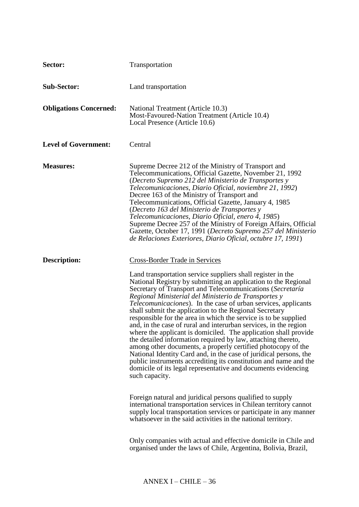| Sector:                       | Transportation                                                                                                                                                                                                                                                                                                                                                                                                                                                                                                                                                                                                                                                                                                                                                                                                                                                                                                                                               |
|-------------------------------|--------------------------------------------------------------------------------------------------------------------------------------------------------------------------------------------------------------------------------------------------------------------------------------------------------------------------------------------------------------------------------------------------------------------------------------------------------------------------------------------------------------------------------------------------------------------------------------------------------------------------------------------------------------------------------------------------------------------------------------------------------------------------------------------------------------------------------------------------------------------------------------------------------------------------------------------------------------|
| <b>Sub-Sector:</b>            | Land transportation                                                                                                                                                                                                                                                                                                                                                                                                                                                                                                                                                                                                                                                                                                                                                                                                                                                                                                                                          |
| <b>Obligations Concerned:</b> | National Treatment (Article 10.3)<br>Most-Favoured-Nation Treatment (Article 10.4)<br>Local Presence (Article 10.6)                                                                                                                                                                                                                                                                                                                                                                                                                                                                                                                                                                                                                                                                                                                                                                                                                                          |
| <b>Level of Government:</b>   | Central                                                                                                                                                                                                                                                                                                                                                                                                                                                                                                                                                                                                                                                                                                                                                                                                                                                                                                                                                      |
| <b>Measures:</b>              | Supreme Decree 212 of the Ministry of Transport and<br>Telecommunications, Official Gazette, November 21, 1992<br>(Decreto Supremo 212 del Ministerio de Transportes y<br>Telecomunicaciones, Diario Oficial, noviembre 21, 1992)<br>Decree 163 of the Ministry of Transport and<br>Telecommunications, Official Gazette, January 4, 1985<br>(Decreto 163 del Ministerio de Transportes y<br>Telecomunicaciones, Diario Oficial, enero 4, 1985)<br>Supreme Decree 257 of the Ministry of Foreign Affairs, Official<br>Gazette, October 17, 1991 (Decreto Supremo 257 del Ministerio<br>de Relaciones Exteriores, Diario Oficial, octubre 17, 1991)                                                                                                                                                                                                                                                                                                           |
| <b>Description:</b>           | <b>Cross-Border Trade in Services</b>                                                                                                                                                                                                                                                                                                                                                                                                                                                                                                                                                                                                                                                                                                                                                                                                                                                                                                                        |
|                               | Land transportation service suppliers shall register in the<br>National Registry by submitting an application to the Regional<br>Secretary of Transport and Telecommunications (Secretaría<br>Regional Ministerial del Ministerio de Transportes y<br><i>Telecomunicaciones</i> ). In the case of urban services, applicants<br>shall submit the application to the Regional Secretary<br>responsible for the area in which the service is to be supplied<br>and, in the case of rural and interurban services, in the region<br>where the applicant is domiciled. The application shall provide<br>the detailed information required by law, attaching thereto,<br>among other documents, a properly certified photocopy of the<br>National Identity Card and, in the case of juridical persons, the<br>public instruments accrediting its constitution and name and the<br>domicile of its legal representative and documents evidencing<br>such capacity. |
|                               | Foreign natural and juridical persons qualified to supply<br>international transportation services in Chilean territory cannot<br>supply local transportation services or participate in any manner<br>whatsoever in the said activities in the national territory.                                                                                                                                                                                                                                                                                                                                                                                                                                                                                                                                                                                                                                                                                          |
|                               | Only companies with actual and effective domicile in Chile and<br>organised under the laws of Chile, Argentina, Bolivia, Brazil,                                                                                                                                                                                                                                                                                                                                                                                                                                                                                                                                                                                                                                                                                                                                                                                                                             |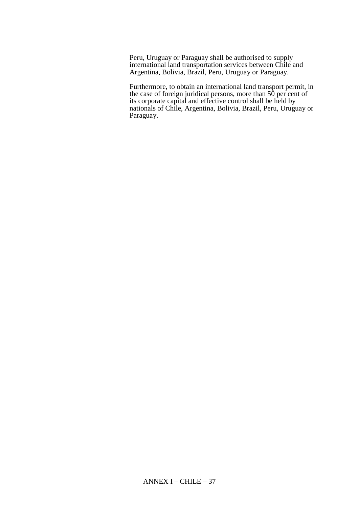Peru, Uruguay or Paraguay shall be authorised to supply international land transportation services between Chile and Argentina, Bolivia, Brazil, Peru, Uruguay or Paraguay.

Furthermore, to obtain an international land transport permit, in the case of foreign juridical persons, more than 50 per cent of its corporate capital and effective control shall be held by nationals of Chile, Argentina, Bolivia, Brazil, Peru, Uruguay or Paraguay.